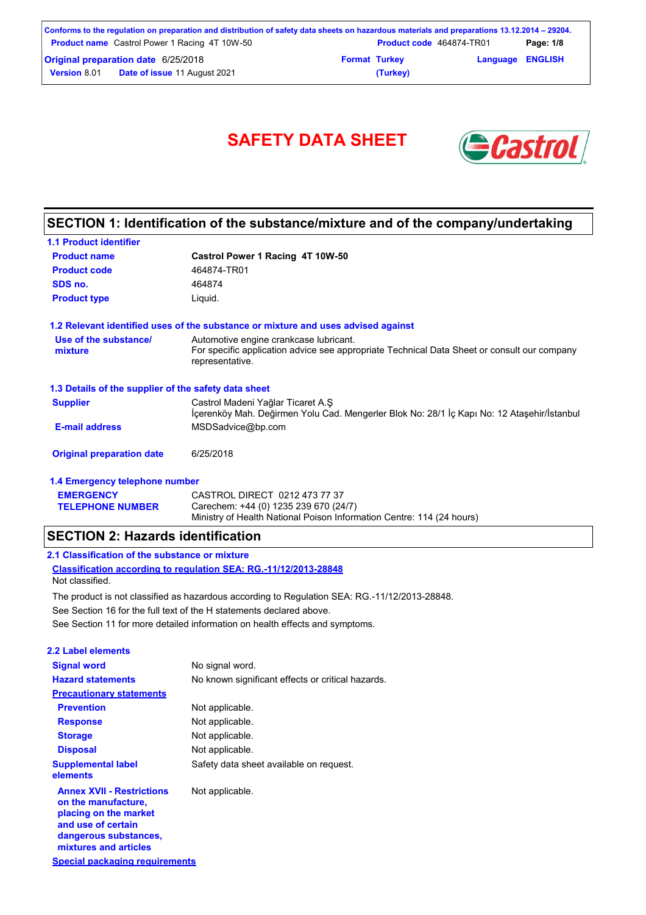|                                     | Conforms to the regulation on preparation and distribution of safety data sheets on hazardous materials and preparations 13.12.2014 – 29204. |                      |                                 |                         |           |
|-------------------------------------|----------------------------------------------------------------------------------------------------------------------------------------------|----------------------|---------------------------------|-------------------------|-----------|
|                                     | <b>Product name</b> Castrol Power 1 Racing 4T 10W-50                                                                                         |                      | <b>Product code</b> 464874-TR01 |                         | Page: 1/8 |
| Original preparation date 6/25/2018 |                                                                                                                                              | <b>Format Turkey</b> |                                 | <b>Language ENGLISH</b> |           |
| <b>Version 8.01</b>                 | <b>Date of issue 11 August 2021</b>                                                                                                          |                      | (Turkey)                        |                         |           |

# SAFETY DATA SHEET **& Castro**



# **SECTION 1: Identification of the substance/mixture and of the company/undertaking**

| <b>1.1 Product identifier</b>                        |                                                                                                                                                          |
|------------------------------------------------------|----------------------------------------------------------------------------------------------------------------------------------------------------------|
| <b>Product name</b>                                  | Castrol Power 1 Racing 4T 10W-50                                                                                                                         |
| <b>Product code</b>                                  | 464874-TR01                                                                                                                                              |
| SDS no.                                              | 464874                                                                                                                                                   |
| <b>Product type</b>                                  | Liquid.                                                                                                                                                  |
|                                                      | 1.2 Relevant identified uses of the substance or mixture and uses advised against                                                                        |
| Use of the substance/<br>mixture                     | Automotive engine crankcase lubricant.<br>For specific application advice see appropriate Technical Data Sheet or consult our company<br>representative. |
| 1.3 Details of the supplier of the safety data sheet |                                                                                                                                                          |
| <b>Supplier</b>                                      | Castrol Madeni Yağlar Ticaret A.Ş<br>İçerenköy Mah. Değirmen Yolu Cad. Mengerler Blok No: 28/1 İç Kapı No: 12 Ataşehir/İstanbul                          |
| <b>E-mail address</b>                                | MSDSadvice@bp.com                                                                                                                                        |
| <b>Original preparation date</b>                     | 6/25/2018                                                                                                                                                |
| 1.4 Emergency telephone number                       |                                                                                                                                                          |
| <b>EMERGENCY</b>                                     | CASTROL DIRECT 0212 473 77 37                                                                                                                            |

Ministry of Health National Poison Information Centre: 114 (24 hours)

## **SECTION 2: Hazards identification**

## **2.1 Classification of the substance or mixture**

**TELEPHONE NUMBER**

**Classification according to regulation SEA: RG.-11/12/2013-28848** Not classified.

See Section 11 for more detailed information on health effects and symptoms. See Section 16 for the full text of the H statements declared above. The product is not classified as hazardous according to Regulation SEA: RG.-11/12/2013-28848.

Carechem: +44 (0) 1235 239 670 (24/7)

| 2.2 Label elements                                                                                                                                       |                                                   |
|----------------------------------------------------------------------------------------------------------------------------------------------------------|---------------------------------------------------|
| <b>Signal word</b>                                                                                                                                       | No signal word.                                   |
| <b>Hazard statements</b>                                                                                                                                 | No known significant effects or critical hazards. |
| <b>Precautionary statements</b>                                                                                                                          |                                                   |
| <b>Prevention</b>                                                                                                                                        | Not applicable.                                   |
| <b>Response</b>                                                                                                                                          | Not applicable.                                   |
| <b>Storage</b>                                                                                                                                           | Not applicable.                                   |
| <b>Disposal</b>                                                                                                                                          | Not applicable.                                   |
| <b>Supplemental label</b><br>elements                                                                                                                    | Safety data sheet available on request.           |
| <b>Annex XVII - Restrictions</b><br>on the manufacture,<br>placing on the market<br>and use of certain<br>dangerous substances,<br>mixtures and articles | Not applicable.                                   |
| <b>Special packaging requirements</b>                                                                                                                    |                                                   |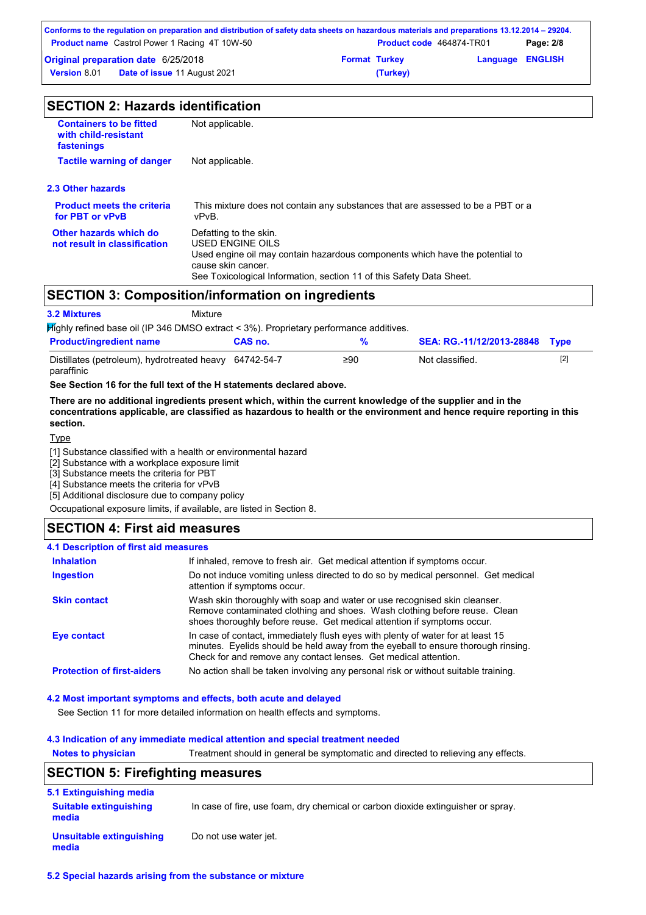| Conforms to the regulation on preparation and distribution of safety data sheets on hazardous materials and preparations 13.12.2014 – 29204. |                                                      |                      |                                 |                         |           |
|----------------------------------------------------------------------------------------------------------------------------------------------|------------------------------------------------------|----------------------|---------------------------------|-------------------------|-----------|
|                                                                                                                                              | <b>Product name</b> Castrol Power 1 Racing 4T 10W-50 |                      | <b>Product code</b> 464874-TR01 |                         | Page: 2/8 |
|                                                                                                                                              | Original preparation date 6/25/2018                  | <b>Format Turkey</b> |                                 | <b>Language ENGLISH</b> |           |
| <b>Date of issue 11 August 2021</b><br><b>Version</b> 8.01                                                                                   |                                                      |                      | (Turkey)                        |                         |           |

| <b>Containers to be fitted</b><br>with child-resistant<br>fastenings | Not applicable.                                                                                                                                                                                                          |
|----------------------------------------------------------------------|--------------------------------------------------------------------------------------------------------------------------------------------------------------------------------------------------------------------------|
| <b>Tactile warning of danger</b>                                     | Not applicable.                                                                                                                                                                                                          |
| 2.3 Other hazards                                                    |                                                                                                                                                                                                                          |
| <b>Product meets the criteria</b><br>for PBT or vPvB                 | This mixture does not contain any substances that are assessed to be a PBT or a<br>vPvB.                                                                                                                                 |
| Other hazards which do<br>not result in classification               | Defatting to the skin.<br>USED ENGINE OILS<br>Used engine oil may contain hazardous components which have the potential to<br>cause skin cancer.<br>See Toxicological Information, section 11 of this Safety Data Sheet. |

# **SECTION 3: Composition/information on ingredients**

| <b>3.2 Mixtures</b>                                                  | Mixture                                                                                |     |                                |     |
|----------------------------------------------------------------------|----------------------------------------------------------------------------------------|-----|--------------------------------|-----|
|                                                                      | Mighly refined base oil (IP 346 DMSO extract < 3%). Proprietary performance additives. |     |                                |     |
| <b>Product/ingredient name</b>                                       | CAS no.                                                                                | %   | SEA: RG.-11/12/2013-28848 Type |     |
| Distillates (petroleum), hydrotreated heavy 64742-54-7<br>paraffinic |                                                                                        | ≥90 | Not classified.                | [2] |

**See Section 16 for the full text of the H statements declared above.**

**There are no additional ingredients present which, within the current knowledge of the supplier and in the concentrations applicable, are classified as hazardous to health or the environment and hence require reporting in this section.**

**Type** 

[1] Substance classified with a health or environmental hazard

[2] Substance with a workplace exposure limit

[3] Substance meets the criteria for PBT

[4] Substance meets the criteria for vPvB

[5] Additional disclosure due to company policy

Occupational exposure limits, if available, are listed in Section 8.

## **SECTION 4: First aid measures**

#### **4.1 Description of first aid measures**

| <b>Inhalation</b>                 | If inhaled, remove to fresh air. Get medical attention if symptoms occur.                                                                                                                                                               |
|-----------------------------------|-----------------------------------------------------------------------------------------------------------------------------------------------------------------------------------------------------------------------------------------|
| <b>Ingestion</b>                  | Do not induce vomiting unless directed to do so by medical personnel. Get medical<br>attention if symptoms occur.                                                                                                                       |
| <b>Skin contact</b>               | Wash skin thoroughly with soap and water or use recognised skin cleanser.<br>Remove contaminated clothing and shoes. Wash clothing before reuse. Clean<br>shoes thoroughly before reuse. Get medical attention if symptoms occur.       |
| Eye contact                       | In case of contact, immediately flush eyes with plenty of water for at least 15<br>minutes. Eyelids should be held away from the eyeball to ensure thorough rinsing.<br>Check for and remove any contact lenses. Get medical attention. |
| <b>Protection of first-aiders</b> | No action shall be taken involving any personal risk or without suitable training.                                                                                                                                                      |

#### **4.2 Most important symptoms and effects, both acute and delayed**

See Section 11 for more detailed information on health effects and symptoms.

#### **4.3 Indication of any immediate medical attention and special treatment needed**

**Notes to physician** Treatment should in general be symptomatic and directed to relieving any effects.

## **SECTION 5: Firefighting measures**

| 5.1 Extinguishing media                |                                                                                  |
|----------------------------------------|----------------------------------------------------------------------------------|
| <b>Suitable extinguishing</b><br>media | In case of fire, use foam, dry chemical or carbon dioxide extinguisher or spray. |
| Unsuitable extinguishing<br>media      | Do not use water jet.                                                            |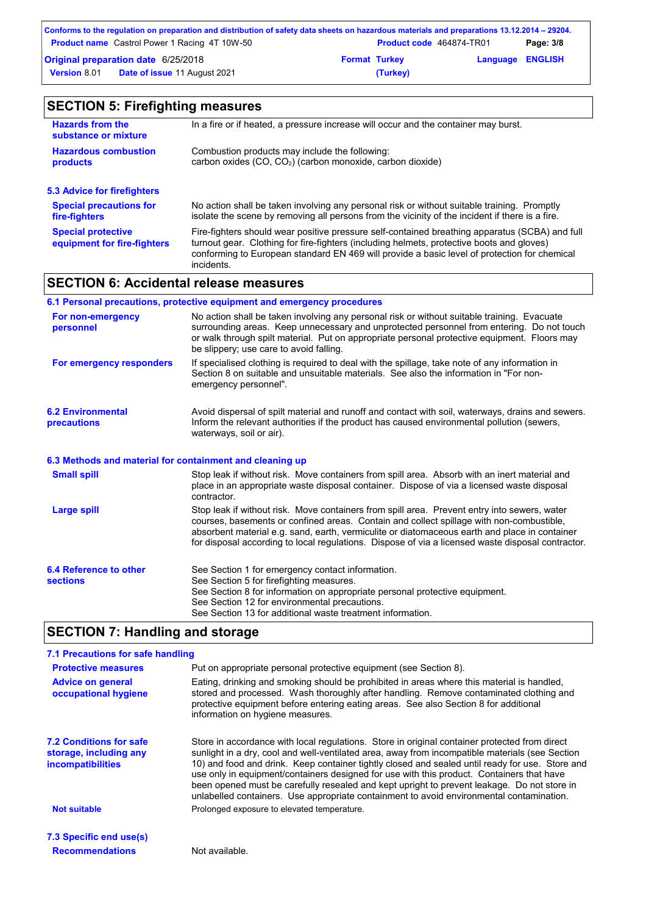|                                            | Conforms to the regulation on preparation and distribution of safety data sheets on hazardous materials and preparations 13.12.2014 – 29204. |                      |                                 |                         |           |
|--------------------------------------------|----------------------------------------------------------------------------------------------------------------------------------------------|----------------------|---------------------------------|-------------------------|-----------|
|                                            | <b>Product name</b> Castrol Power 1 Racing 4T 10W-50                                                                                         |                      | <b>Product code</b> 464874-TR01 |                         | Page: 3/8 |
| <b>Original preparation date 6/25/2018</b> |                                                                                                                                              | <b>Format Turkey</b> |                                 | <b>Language ENGLISH</b> |           |
| <b>Version 8.01</b>                        | <b>Date of issue 11 August 2021</b>                                                                                                          |                      | (Turkey)                        |                         |           |

| <b>SECTION 5: Firefighting measures</b>                  |                                                                                                                                                                                                                                                                                                           |  |  |
|----------------------------------------------------------|-----------------------------------------------------------------------------------------------------------------------------------------------------------------------------------------------------------------------------------------------------------------------------------------------------------|--|--|
| <b>Hazards from the</b><br>substance or mixture          | In a fire or if heated, a pressure increase will occur and the container may burst.                                                                                                                                                                                                                       |  |  |
| <b>Hazardous combustion</b><br>products                  | Combustion products may include the following:<br>carbon oxides (CO, CO <sub>2</sub> ) (carbon monoxide, carbon dioxide)                                                                                                                                                                                  |  |  |
| <b>5.3 Advice for firefighters</b>                       |                                                                                                                                                                                                                                                                                                           |  |  |
| <b>Special precautions for</b><br>fire-fighters          | No action shall be taken involving any personal risk or without suitable training. Promptly<br>isolate the scene by removing all persons from the vicinity of the incident if there is a fire.                                                                                                            |  |  |
| <b>Special protective</b><br>equipment for fire-fighters | Fire-fighters should wear positive pressure self-contained breathing apparatus (SCBA) and full<br>turnout gear. Clothing for fire-fighters (including helmets, protective boots and gloves)<br>conforming to European standard EN 469 will provide a basic level of protection for chemical<br>incidents. |  |  |

# **SECTION 6: Accidental release measures**

|                                                          | 6.1 Personal precautions, protective equipment and emergency procedures                                                                                                                                                                                                                                                                                                                        |
|----------------------------------------------------------|------------------------------------------------------------------------------------------------------------------------------------------------------------------------------------------------------------------------------------------------------------------------------------------------------------------------------------------------------------------------------------------------|
| For non-emergency<br>personnel                           | No action shall be taken involving any personal risk or without suitable training. Evacuate<br>surrounding areas. Keep unnecessary and unprotected personnel from entering. Do not touch<br>or walk through spilt material. Put on appropriate personal protective equipment. Floors may<br>be slippery; use care to avoid falling.                                                            |
| For emergency responders                                 | If specialised clothing is required to deal with the spillage, take note of any information in<br>Section 8 on suitable and unsuitable materials. See also the information in "For non-<br>emergency personnel".                                                                                                                                                                               |
| <b>6.2 Environmental</b><br>precautions                  | Avoid dispersal of spilt material and runoff and contact with soil, waterways, drains and sewers.<br>Inform the relevant authorities if the product has caused environmental pollution (sewers,<br>waterways, soil or air).                                                                                                                                                                    |
| 6.3 Methods and material for containment and cleaning up |                                                                                                                                                                                                                                                                                                                                                                                                |
| <b>Small spill</b>                                       | Stop leak if without risk. Move containers from spill area. Absorb with an inert material and<br>place in an appropriate waste disposal container. Dispose of via a licensed waste disposal<br>contractor.                                                                                                                                                                                     |
| <b>Large spill</b>                                       | Stop leak if without risk. Move containers from spill area. Prevent entry into sewers, water<br>courses, basements or confined areas. Contain and collect spillage with non-combustible,<br>absorbent material e.g. sand, earth, vermiculite or diatomaceous earth and place in container<br>for disposal according to local regulations. Dispose of via a licensed waste disposal contractor. |
| 6.4 Reference to other<br><b>sections</b>                | See Section 1 for emergency contact information.<br>See Section 5 for firefighting measures.<br>See Section 8 for information on appropriate personal protective equipment.<br>See Section 12 for environmental precautions.<br>See Section 13 for additional waste treatment information.                                                                                                     |

# **SECTION 7: Handling and storage**

## **7.1 Precautions for safe handling**

| <b>Protective measures</b>                                                           | Put on appropriate personal protective equipment (see Section 8).                                                                                                                                                                                                                                                                                                                                                                                                                                                                                                                           |
|--------------------------------------------------------------------------------------|---------------------------------------------------------------------------------------------------------------------------------------------------------------------------------------------------------------------------------------------------------------------------------------------------------------------------------------------------------------------------------------------------------------------------------------------------------------------------------------------------------------------------------------------------------------------------------------------|
| <b>Advice on general</b><br>occupational hygiene                                     | Eating, drinking and smoking should be prohibited in areas where this material is handled,<br>stored and processed. Wash thoroughly after handling. Remove contaminated clothing and<br>protective equipment before entering eating areas. See also Section 8 for additional<br>information on hygiene measures.                                                                                                                                                                                                                                                                            |
| <b>7.2 Conditions for safe</b><br>storage, including any<br><b>incompatibilities</b> | Store in accordance with local regulations. Store in original container protected from direct<br>sunlight in a dry, cool and well-ventilated area, away from incompatible materials (see Section<br>10) and food and drink. Keep container tightly closed and sealed until ready for use. Store and<br>use only in equipment/containers designed for use with this product. Containers that have<br>been opened must be carefully resealed and kept upright to prevent leakage. Do not store in<br>unlabelled containers. Use appropriate containment to avoid environmental contamination. |
| <b>Not suitable</b>                                                                  | Prolonged exposure to elevated temperature.                                                                                                                                                                                                                                                                                                                                                                                                                                                                                                                                                 |
| 7.3 Specific end use(s)                                                              |                                                                                                                                                                                                                                                                                                                                                                                                                                                                                                                                                                                             |

**Recommendations** Not available.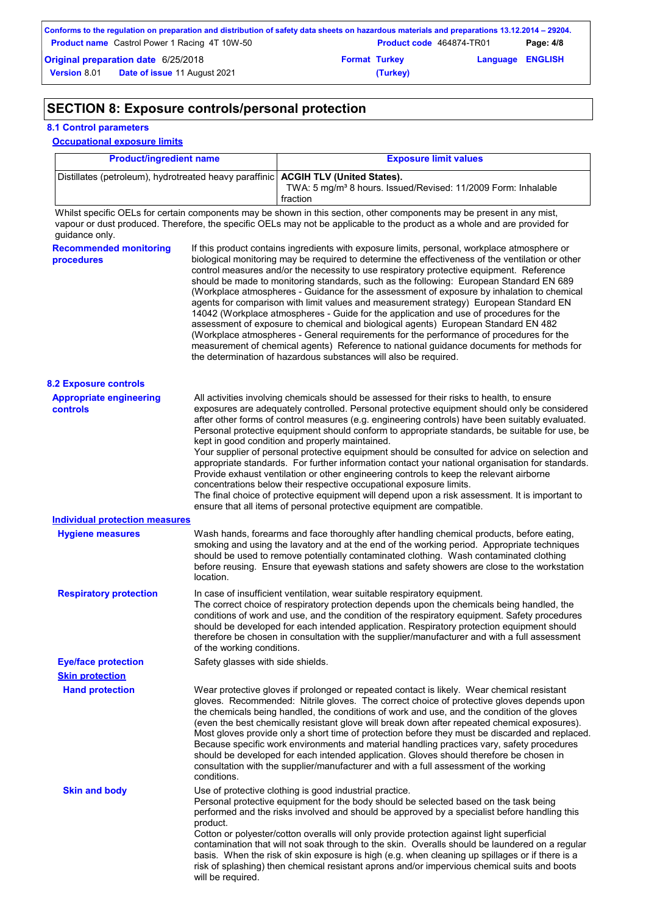| Conforms to the regulation on preparation and distribution of safety data sheets on hazardous materials and preparations 13.12.2014 – 29204. |                                                      |  |                                 |                         |           |
|----------------------------------------------------------------------------------------------------------------------------------------------|------------------------------------------------------|--|---------------------------------|-------------------------|-----------|
|                                                                                                                                              | <b>Product name</b> Castrol Power 1 Racing 4T 10W-50 |  | <b>Product code</b> 464874-TR01 |                         | Page: 4/8 |
| <b>Original preparation date 6/25/2018</b>                                                                                                   |                                                      |  | <b>Format Turkey</b>            | <b>Language ENGLISH</b> |           |
| <b>Version 8.01</b>                                                                                                                          | Date of issue 11 August 2021                         |  | (Turkey)                        |                         |           |

# **SECTION 8: Exposure controls/personal protection**

## **8.1 Control parameters**

## **Occupational exposure limits**

| <b>Product/ingredient name</b>                                                      | <b>Exposure limit values</b>                                                          |
|-------------------------------------------------------------------------------------|---------------------------------------------------------------------------------------|
| Distillates (petroleum), hydrotreated heavy paraffinic   ACGIH TLV (United States). | TWA: 5 mg/m <sup>3</sup> 8 hours. Issued/Revised: 11/2009 Form: Inhalable<br>fraction |

Whilst specific OELs for certain components may be shown in this section, other components may be present in any mist, vapour or dust produced. Therefore, the specific OELs may not be applicable to the product as a whole and are provided for guidance only.

| <b>Recommended monitoring</b><br><b>procedures</b> | If this product contains ingredients with exposure limits, personal, workplace atmosphere or<br>biological monitoring may be required to determine the effectiveness of the ventilation or other<br>control measures and/or the necessity to use respiratory protective equipment. Reference<br>should be made to monitoring standards, such as the following: European Standard EN 689<br>(Workplace atmospheres - Guidance for the assessment of exposure by inhalation to chemical<br>agents for comparison with limit values and measurement strategy) European Standard EN<br>14042 (Workplace atmospheres - Guide for the application and use of procedures for the<br>assessment of exposure to chemical and biological agents) European Standard EN 482<br>(Workplace atmospheres - General requirements for the performance of procedures for the<br>measurement of chemical agents) Reference to national guidance documents for methods for<br>the determination of hazardous substances will also be required. |
|----------------------------------------------------|----------------------------------------------------------------------------------------------------------------------------------------------------------------------------------------------------------------------------------------------------------------------------------------------------------------------------------------------------------------------------------------------------------------------------------------------------------------------------------------------------------------------------------------------------------------------------------------------------------------------------------------------------------------------------------------------------------------------------------------------------------------------------------------------------------------------------------------------------------------------------------------------------------------------------------------------------------------------------------------------------------------------------|
| <b>8.2 Exposure controls</b>                       |                                                                                                                                                                                                                                                                                                                                                                                                                                                                                                                                                                                                                                                                                                                                                                                                                                                                                                                                                                                                                            |
| <b>Appropriate engineering</b><br><b>controls</b>  | All activities involving chemicals should be assessed for their risks to health, to ensure<br>exposures are adequately controlled. Personal protective equipment should only be considered<br>after other forms of control measures (e.g. engineering controls) have been suitably evaluated.<br>Personal protective equipment should conform to appropriate standards, be suitable for use, be<br>kept in good condition and properly maintained.<br>Your supplier of personal protective equipment should be consulted for advice on selection and<br>appropriate standards. For further information contact your national organisation for standards.<br>Provide exhaust ventilation or other engineering controls to keep the relevant airborne<br>concentrations below their respective occupational exposure limits.<br>The final choice of protective equipment will depend upon a risk assessment. It is important to<br>ensure that all items of personal protective equipment are compatible.                    |
| <b>Individual protection measures</b>              |                                                                                                                                                                                                                                                                                                                                                                                                                                                                                                                                                                                                                                                                                                                                                                                                                                                                                                                                                                                                                            |
| <b>Hygiene measures</b>                            | Wash hands, forearms and face thoroughly after handling chemical products, before eating,<br>smoking and using the lavatory and at the end of the working period. Appropriate techniques<br>should be used to remove potentially contaminated clothing. Wash contaminated clothing<br>before reusing. Ensure that eyewash stations and safety showers are close to the workstation<br>location.                                                                                                                                                                                                                                                                                                                                                                                                                                                                                                                                                                                                                            |
| <b>Respiratory protection</b>                      | In case of insufficient ventilation, wear suitable respiratory equipment.<br>The correct choice of respiratory protection depends upon the chemicals being handled, the<br>conditions of work and use, and the condition of the respiratory equipment. Safety procedures<br>should be developed for each intended application. Respiratory protection equipment should<br>therefore be chosen in consultation with the supplier/manufacturer and with a full assessment<br>of the working conditions.                                                                                                                                                                                                                                                                                                                                                                                                                                                                                                                      |
| <b>Eye/face protection</b>                         | Safety glasses with side shields.                                                                                                                                                                                                                                                                                                                                                                                                                                                                                                                                                                                                                                                                                                                                                                                                                                                                                                                                                                                          |
| <b>Skin protection</b>                             |                                                                                                                                                                                                                                                                                                                                                                                                                                                                                                                                                                                                                                                                                                                                                                                                                                                                                                                                                                                                                            |
| <b>Hand protection</b>                             | Wear protective gloves if prolonged or repeated contact is likely. Wear chemical resistant<br>gloves. Recommended: Nitrile gloves. The correct choice of protective gloves depends upon<br>the chemicals being handled, the conditions of work and use, and the condition of the gloves<br>(even the best chemically resistant glove will break down after repeated chemical exposures).<br>Most gloves provide only a short time of protection before they must be discarded and replaced.<br>Because specific work environments and material handling practices vary, safety procedures<br>should be developed for each intended application. Gloves should therefore be chosen in<br>consultation with the supplier/manufacturer and with a full assessment of the working<br>conditions.                                                                                                                                                                                                                               |
| <b>Skin and body</b>                               | Use of protective clothing is good industrial practice.<br>Personal protective equipment for the body should be selected based on the task being<br>performed and the risks involved and should be approved by a specialist before handling this<br>product.<br>Cotton or polyester/cotton overalls will only provide protection against light superficial<br>contamination that will not soak through to the skin. Overalls should be laundered on a regular<br>basis. When the risk of skin exposure is high (e.g. when cleaning up spillages or if there is a<br>risk of splashing) then chemical resistant aprons and/or impervious chemical suits and boots<br>will be required.                                                                                                                                                                                                                                                                                                                                      |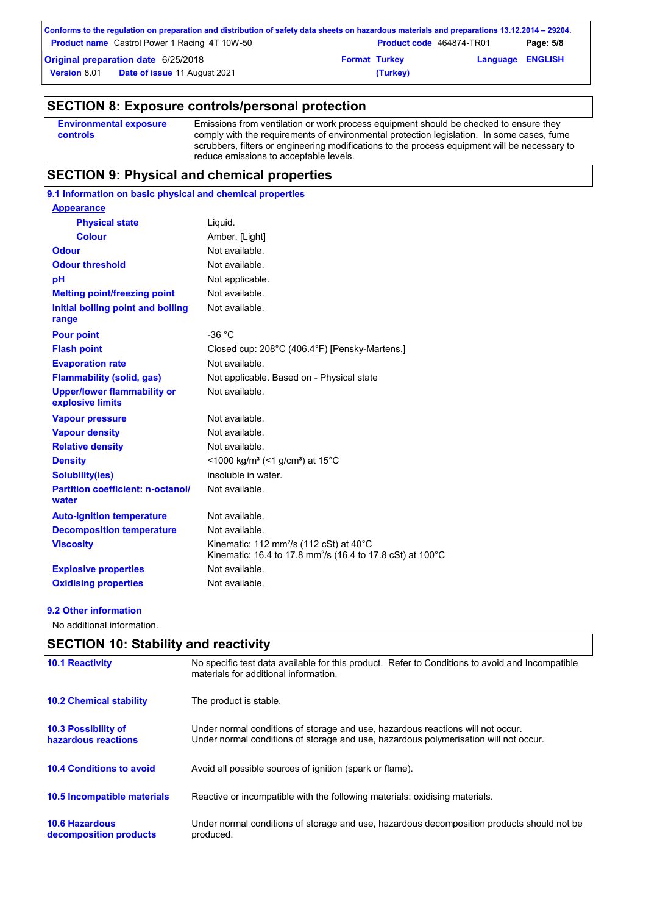|                                            | Conforms to the regulation on preparation and distribution of safety data sheets on hazardous materials and preparations 13.12.2014 – 29204. |                      |                                 |                         |           |
|--------------------------------------------|----------------------------------------------------------------------------------------------------------------------------------------------|----------------------|---------------------------------|-------------------------|-----------|
|                                            | <b>Product name</b> Castrol Power 1 Racing 4T 10W-50                                                                                         |                      | <b>Product code</b> 464874-TR01 |                         | Page: 5/8 |
| <b>Original preparation date 6/25/2018</b> |                                                                                                                                              | <b>Format Turkey</b> |                                 | <b>Language ENGLISH</b> |           |
| <b>Version 8.01</b>                        | <b>Date of issue 11 August 2021</b>                                                                                                          |                      | (Turkey)                        |                         |           |

# **SECTION 8: Exposure controls/personal protection**

| <b>Environmental exposure</b>                                                                         | Emissions from ventilation or work process equipment should be checked to ensure they         |
|-------------------------------------------------------------------------------------------------------|-----------------------------------------------------------------------------------------------|
| comply with the requirements of environmental protection legislation. In some cases, fume<br>controls |                                                                                               |
|                                                                                                       | scrubbers, filters or engineering modifications to the process equipment will be necessary to |
|                                                                                                       | reduce emissions to acceptable levels.                                                        |

# **SECTION 9: Physical and chemical properties**

# **9.1 Information on basic physical and chemical properties**

| <b>Appearance</b>                                      |                                                                                                                                          |
|--------------------------------------------------------|------------------------------------------------------------------------------------------------------------------------------------------|
| <b>Physical state</b>                                  | Liquid.                                                                                                                                  |
| <b>Colour</b>                                          | Amber. [Light]                                                                                                                           |
| <b>Odour</b>                                           | Not available.                                                                                                                           |
| <b>Odour threshold</b>                                 | Not available.                                                                                                                           |
| pH                                                     | Not applicable.                                                                                                                          |
| <b>Melting point/freezing point</b>                    | Not available.                                                                                                                           |
| Initial boiling point and boiling<br>range             | Not available.                                                                                                                           |
| <b>Pour point</b>                                      | $-36 °C$                                                                                                                                 |
| <b>Flash point</b>                                     | Closed cup: 208°C (406.4°F) [Pensky-Martens.]                                                                                            |
| <b>Evaporation rate</b>                                | Not available                                                                                                                            |
| <b>Flammability (solid, gas)</b>                       | Not applicable. Based on - Physical state                                                                                                |
| <b>Upper/lower flammability or</b><br>explosive limits | Not available.                                                                                                                           |
| <b>Vapour pressure</b>                                 | Not available.                                                                                                                           |
| <b>Vapour density</b>                                  | Not available.                                                                                                                           |
| <b>Relative density</b>                                | Not available.                                                                                                                           |
| <b>Density</b>                                         | <1000 kg/m <sup>3</sup> (<1 g/cm <sup>3</sup> ) at 15 <sup>°</sup> C                                                                     |
| <b>Solubility(ies)</b>                                 | insoluble in water.                                                                                                                      |
| <b>Partition coefficient: n-octanol/</b><br>water      | Not available.                                                                                                                           |
| <b>Auto-ignition temperature</b>                       | Not available.                                                                                                                           |
| <b>Decomposition temperature</b>                       | Not available.                                                                                                                           |
| <b>Viscosity</b>                                       | Kinematic: 112 mm <sup>2</sup> /s (112 cSt) at $40^{\circ}$ C<br>Kinematic: 16.4 to 17.8 mm <sup>2</sup> /s (16.4 to 17.8 cSt) at 100 °C |
| <b>Explosive properties</b>                            | Not available.                                                                                                                           |
| <b>Oxidising properties</b>                            | Not available.                                                                                                                           |

#### **9.2 Other information**

No additional information.

# **SECTION 10: Stability and reactivity**

| <b>10.1 Reactivity</b>                            | No specific test data available for this product. Refer to Conditions to avoid and Incompatible<br>materials for additional information.                                |
|---------------------------------------------------|-------------------------------------------------------------------------------------------------------------------------------------------------------------------------|
| <b>10.2 Chemical stability</b>                    | The product is stable.                                                                                                                                                  |
| <b>10.3 Possibility of</b><br>hazardous reactions | Under normal conditions of storage and use, hazardous reactions will not occur.<br>Under normal conditions of storage and use, hazardous polymerisation will not occur. |
| <b>10.4 Conditions to avoid</b>                   | Avoid all possible sources of ignition (spark or flame).                                                                                                                |
| <b>10.5 Incompatible materials</b>                | Reactive or incompatible with the following materials: oxidising materials.                                                                                             |
| <b>10.6 Hazardous</b><br>decomposition products   | Under normal conditions of storage and use, hazardous decomposition products should not be<br>produced.                                                                 |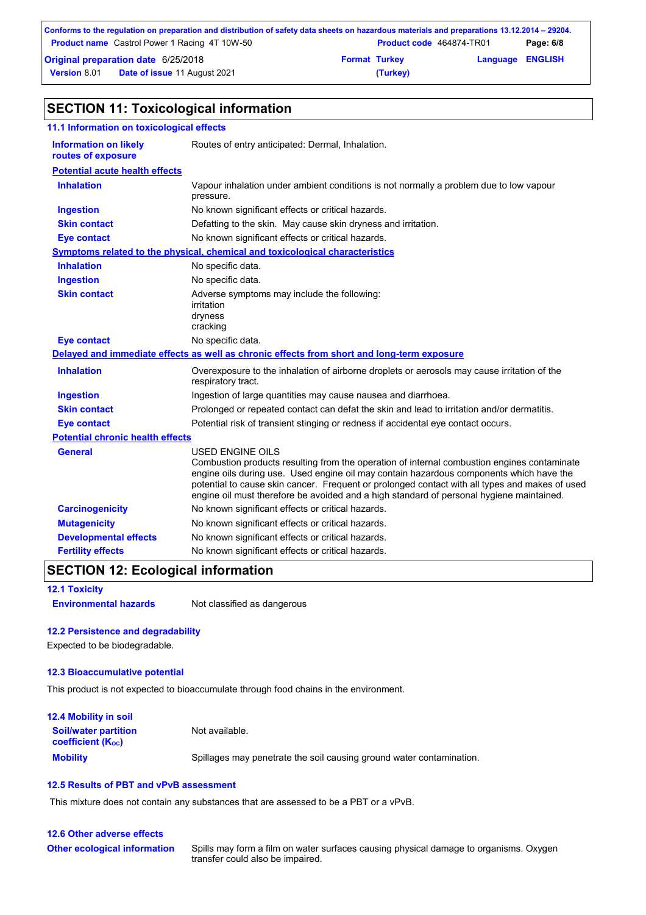|                                     | Conforms to the regulation on preparation and distribution of safety data sheets on hazardous materials and preparations 13.12.2014 – 29204. |                      |                                 |                         |           |
|-------------------------------------|----------------------------------------------------------------------------------------------------------------------------------------------|----------------------|---------------------------------|-------------------------|-----------|
|                                     | <b>Product name</b> Castrol Power 1 Racing 4T 10W-50                                                                                         |                      | <b>Product code</b> 464874-TR01 |                         | Page: 6/8 |
| Original preparation date 6/25/2018 |                                                                                                                                              | <b>Format Turkey</b> |                                 | <b>Language ENGLISH</b> |           |
| <b>Version 8.01</b>                 | <b>Date of issue 11 August 2021</b>                                                                                                          |                      | (Turkey)                        |                         |           |

# **SECTION 11: Toxicological information**

| 11.1 Information on toxicological effects          |                                                                                                                                                                                                                                                                                                                                                                                                                 |  |  |
|----------------------------------------------------|-----------------------------------------------------------------------------------------------------------------------------------------------------------------------------------------------------------------------------------------------------------------------------------------------------------------------------------------------------------------------------------------------------------------|--|--|
| <b>Information on likely</b><br>routes of exposure | Routes of entry anticipated: Dermal, Inhalation.                                                                                                                                                                                                                                                                                                                                                                |  |  |
| <b>Potential acute health effects</b>              |                                                                                                                                                                                                                                                                                                                                                                                                                 |  |  |
| <b>Inhalation</b>                                  | Vapour inhalation under ambient conditions is not normally a problem due to low vapour<br>pressure.                                                                                                                                                                                                                                                                                                             |  |  |
| <b>Ingestion</b>                                   | No known significant effects or critical hazards.                                                                                                                                                                                                                                                                                                                                                               |  |  |
| <b>Skin contact</b>                                | Defatting to the skin. May cause skin dryness and irritation.                                                                                                                                                                                                                                                                                                                                                   |  |  |
| <b>Eye contact</b>                                 | No known significant effects or critical hazards.                                                                                                                                                                                                                                                                                                                                                               |  |  |
|                                                    | <b>Symptoms related to the physical, chemical and toxicological characteristics</b>                                                                                                                                                                                                                                                                                                                             |  |  |
| <b>Inhalation</b>                                  | No specific data.                                                                                                                                                                                                                                                                                                                                                                                               |  |  |
| <b>Ingestion</b>                                   | No specific data.                                                                                                                                                                                                                                                                                                                                                                                               |  |  |
| <b>Skin contact</b>                                | Adverse symptoms may include the following:<br>irritation<br>dryness<br>cracking                                                                                                                                                                                                                                                                                                                                |  |  |
| <b>Eye contact</b>                                 | No specific data.                                                                                                                                                                                                                                                                                                                                                                                               |  |  |
|                                                    | Delayed and immediate effects as well as chronic effects from short and long-term exposure                                                                                                                                                                                                                                                                                                                      |  |  |
| <b>Inhalation</b>                                  | Overexposure to the inhalation of airborne droplets or aerosols may cause irritation of the<br>respiratory tract.                                                                                                                                                                                                                                                                                               |  |  |
| <b>Ingestion</b>                                   | Ingestion of large quantities may cause nausea and diarrhoea.                                                                                                                                                                                                                                                                                                                                                   |  |  |
| <b>Skin contact</b>                                | Prolonged or repeated contact can defat the skin and lead to irritation and/or dermatitis.                                                                                                                                                                                                                                                                                                                      |  |  |
| <b>Eye contact</b>                                 | Potential risk of transient stinging or redness if accidental eye contact occurs.                                                                                                                                                                                                                                                                                                                               |  |  |
| <b>Potential chronic health effects</b>            |                                                                                                                                                                                                                                                                                                                                                                                                                 |  |  |
| <b>General</b>                                     | <b>USED ENGINE OILS</b><br>Combustion products resulting from the operation of internal combustion engines contaminate<br>engine oils during use. Used engine oil may contain hazardous components which have the<br>potential to cause skin cancer. Frequent or prolonged contact with all types and makes of used<br>engine oil must therefore be avoided and a high standard of personal hygiene maintained. |  |  |
| <b>Carcinogenicity</b>                             | No known significant effects or critical hazards.                                                                                                                                                                                                                                                                                                                                                               |  |  |
| <b>Mutagenicity</b>                                | No known significant effects or critical hazards.                                                                                                                                                                                                                                                                                                                                                               |  |  |
| <b>Developmental effects</b>                       | No known significant effects or critical hazards.                                                                                                                                                                                                                                                                                                                                                               |  |  |
| <b>Fertility effects</b>                           | No known significant effects or critical hazards.                                                                                                                                                                                                                                                                                                                                                               |  |  |

# **SECTION 12: Ecological information**

**12.1 Toxicity Environmental hazards** Not classified as dangerous

#### **12.2 Persistence and degradability**

Expected to be biodegradable.

#### **12.3 Bioaccumulative potential**

This product is not expected to bioaccumulate through food chains in the environment.

| <b>12.4 Mobility in soil</b>                                  |                                                                      |
|---------------------------------------------------------------|----------------------------------------------------------------------|
| <b>Soil/water partition</b><br>coefficient (K <sub>oc</sub> ) | Not available.                                                       |
| <b>Mobility</b>                                               | Spillages may penetrate the soil causing ground water contamination. |

## **12.5 Results of PBT and vPvB assessment**

This mixture does not contain any substances that are assessed to be a PBT or a vPvB.

### **12.6 Other adverse effects Other ecological information**

Spills may form a film on water surfaces causing physical damage to organisms. Oxygen transfer could also be impaired.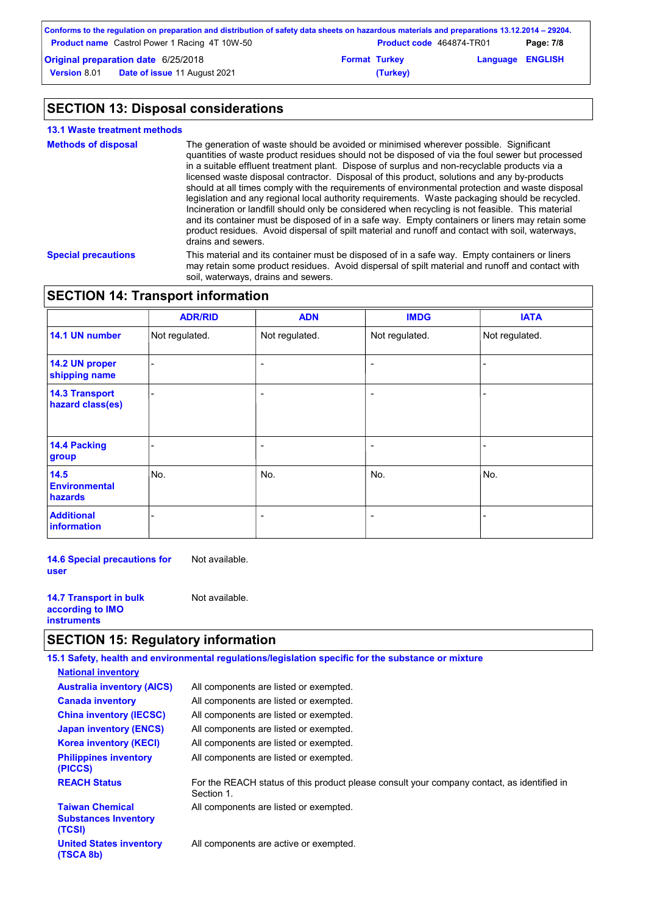|                                            | Conforms to the regulation on preparation and distribution of safety data sheets on hazardous materials and preparations 13.12.2014 – 29204. |                      |                                 |                         |           |
|--------------------------------------------|----------------------------------------------------------------------------------------------------------------------------------------------|----------------------|---------------------------------|-------------------------|-----------|
|                                            | <b>Product name</b> Castrol Power 1 Racing 4T 10W-50                                                                                         |                      | <b>Product code</b> 464874-TR01 |                         | Page: 7/8 |
| <b>Original preparation date 6/25/2018</b> |                                                                                                                                              | <b>Format Turkey</b> |                                 | <b>Language ENGLISH</b> |           |
| <b>Version 8.01</b>                        | <b>Date of issue 11 August 2021</b>                                                                                                          |                      | (Turkey)                        |                         |           |

# **SECTION 13: Disposal considerations**

| <b>13.1 Waste treatment methods</b> |                                                                                                                                                                                                                                                                                                                                                                                                                                                                                                                                                                                                                                                                                                                                                                                                                                                                                                                               |
|-------------------------------------|-------------------------------------------------------------------------------------------------------------------------------------------------------------------------------------------------------------------------------------------------------------------------------------------------------------------------------------------------------------------------------------------------------------------------------------------------------------------------------------------------------------------------------------------------------------------------------------------------------------------------------------------------------------------------------------------------------------------------------------------------------------------------------------------------------------------------------------------------------------------------------------------------------------------------------|
| <b>Methods of disposal</b>          | The generation of waste should be avoided or minimised wherever possible. Significant<br>quantities of waste product residues should not be disposed of via the foul sewer but processed<br>in a suitable effluent treatment plant. Dispose of surplus and non-recyclable products via a<br>licensed waste disposal contractor. Disposal of this product, solutions and any by-products<br>should at all times comply with the requirements of environmental protection and waste disposal<br>legislation and any regional local authority requirements. Waste packaging should be recycled.<br>Incineration or landfill should only be considered when recycling is not feasible. This material<br>and its container must be disposed of in a safe way. Empty containers or liners may retain some<br>product residues. Avoid dispersal of spilt material and runoff and contact with soil, waterways,<br>drains and sewers. |
| <b>Special precautions</b>          | This material and its container must be disposed of in a safe way. Empty containers or liners<br>may retain some product residues. Avoid dispersal of spilt material and runoff and contact with<br>soil, waterways, drains and sewers.                                                                                                                                                                                                                                                                                                                                                                                                                                                                                                                                                                                                                                                                                       |

# **SECTION 14: Transport information**

|                                           | <b>ADR/RID</b> | <b>ADN</b>               | <b>IMDG</b>              | <b>IATA</b>    |
|-------------------------------------------|----------------|--------------------------|--------------------------|----------------|
| 14.1 UN number                            | Not regulated. | Not regulated.           | Not regulated.           | Not regulated. |
| 14.2 UN proper<br>shipping name           |                | $\overline{\phantom{0}}$ | $\overline{\phantom{0}}$ | -              |
| <b>14.3 Transport</b><br>hazard class(es) |                | ٠                        | $\overline{\phantom{0}}$ |                |
| 14.4 Packing<br>group                     |                | $\overline{\phantom{0}}$ | $\overline{\phantom{0}}$ |                |
| 14.5<br><b>Environmental</b><br>hazards   | No.            | No.                      | No.                      | No.            |
| <b>Additional</b><br>information          |                | $\overline{\phantom{0}}$ | $\overline{\phantom{0}}$ |                |

**14.6 Special precautions for user** Not available.

**14.7 Transport in bulk according to IMO instruments** Not available.

# **SECTION 15: Regulatory information**

|                                                                 | 15.1 Safety, health and environmental regulations/legislation specific for the substance or mixture      |
|-----------------------------------------------------------------|----------------------------------------------------------------------------------------------------------|
| <b>National inventory</b>                                       |                                                                                                          |
| <b>Australia inventory (AICS)</b>                               | All components are listed or exempted.                                                                   |
| <b>Canada inventory</b>                                         | All components are listed or exempted.                                                                   |
| <b>China inventory (IECSC)</b>                                  | All components are listed or exempted.                                                                   |
| <b>Japan inventory (ENCS)</b>                                   | All components are listed or exempted.                                                                   |
| <b>Korea inventory (KECI)</b>                                   | All components are listed or exempted.                                                                   |
| <b>Philippines inventory</b><br>(PICCS)                         | All components are listed or exempted.                                                                   |
| <b>REACH Status</b>                                             | For the REACH status of this product please consult your company contact, as identified in<br>Section 1. |
| <b>Taiwan Chemical</b><br><b>Substances Inventory</b><br>(TCSI) | All components are listed or exempted.                                                                   |
| <b>United States inventory</b><br>(TSCA 8b)                     | All components are active or exempted.                                                                   |